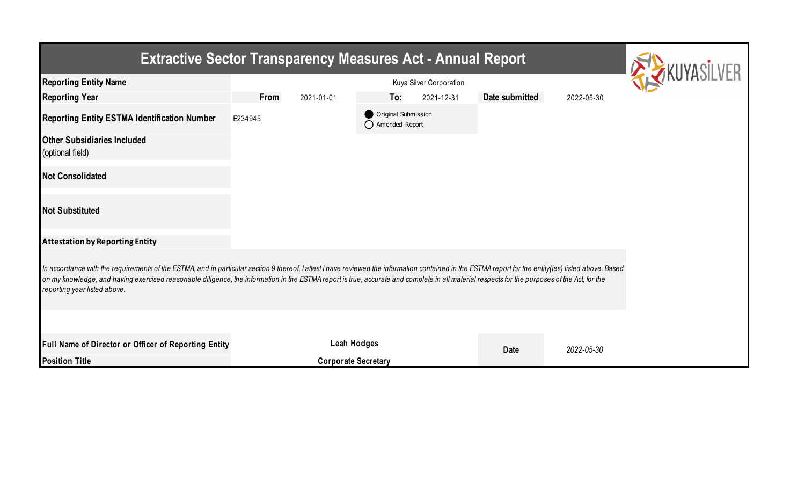| <b>Extractive Sector Transparency Measures Act - Annual Report</b>                                                                                                                                                                                                                                                                                                                                                                    |                            |                                         |                |            |  |  |  |  |  |
|---------------------------------------------------------------------------------------------------------------------------------------------------------------------------------------------------------------------------------------------------------------------------------------------------------------------------------------------------------------------------------------------------------------------------------------|----------------------------|-----------------------------------------|----------------|------------|--|--|--|--|--|
| <b>Reporting Entity Name</b>                                                                                                                                                                                                                                                                                                                                                                                                          |                            |                                         |                |            |  |  |  |  |  |
| <b>Reporting Year</b>                                                                                                                                                                                                                                                                                                                                                                                                                 | From<br>2021-01-01         | To:<br>2021-12-31                       | Date submitted | 2022-05-30 |  |  |  |  |  |
| <b>Reporting Entity ESTMA Identification Number</b>                                                                                                                                                                                                                                                                                                                                                                                   | E234945                    | Original Submission<br>◯ Amended Report |                |            |  |  |  |  |  |
| <b>Other Subsidiaries Included</b><br>(optional field)                                                                                                                                                                                                                                                                                                                                                                                |                            |                                         |                |            |  |  |  |  |  |
| <b>Not Consolidated</b>                                                                                                                                                                                                                                                                                                                                                                                                               |                            |                                         |                |            |  |  |  |  |  |
| <b>Not Substituted</b>                                                                                                                                                                                                                                                                                                                                                                                                                |                            |                                         |                |            |  |  |  |  |  |
| <b>Attestation by Reporting Entity</b>                                                                                                                                                                                                                                                                                                                                                                                                |                            |                                         |                |            |  |  |  |  |  |
| In accordance with the requirements of the ESTMA, and in particular section 9 thereof, I attest I have reviewed the information contained in the ESTMA report for the entity(ies) listed above. Based<br>on my knowledge, and having exercised reasonable diligence, the information in the ESTMA report is true, accurate and complete in all material respects for the purposes of the Act, for the<br>reporting year listed above. |                            |                                         |                |            |  |  |  |  |  |
|                                                                                                                                                                                                                                                                                                                                                                                                                                       |                            |                                         |                |            |  |  |  |  |  |
| Full Name of Director or Officer of Reporting Entity                                                                                                                                                                                                                                                                                                                                                                                  |                            | Leah Hodges                             | <b>Date</b>    | 2022-05-30 |  |  |  |  |  |
| <b>Position Title</b>                                                                                                                                                                                                                                                                                                                                                                                                                 | <b>Corporate Secretary</b> |                                         |                |            |  |  |  |  |  |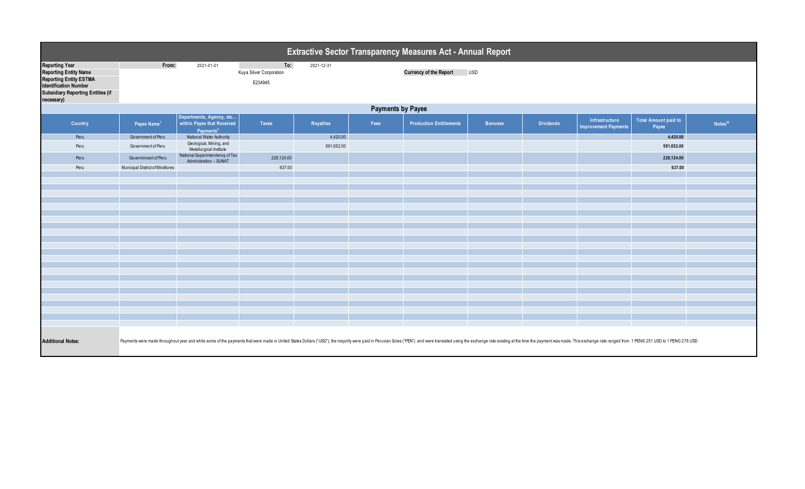| <b>Extractive Sector Transparency Measures Act - Annual Report</b>                                                                                                               |                                                                                                                                                                                                                                |                                                                                 |                                           |            |      |                                |                |                  |                                               |                                      |                     |  |
|----------------------------------------------------------------------------------------------------------------------------------------------------------------------------------|--------------------------------------------------------------------------------------------------------------------------------------------------------------------------------------------------------------------------------|---------------------------------------------------------------------------------|-------------------------------------------|------------|------|--------------------------------|----------------|------------------|-----------------------------------------------|--------------------------------------|---------------------|--|
| <b>Reporting Year</b><br><b>Reporting Entity Name</b><br><b>Reporting Entity ESTMA</b><br><b>Identification Number</b><br><b>Subsidiary Reporting Entities (if</b><br>necessary) | From:                                                                                                                                                                                                                          | 2021-01-01                                                                      | To:<br>Kuya Silver Corporation<br>E234945 | 2021-12-31 |      | <b>Currency of the Report</b>  | <b>USD</b>     |                  |                                               |                                      |                     |  |
|                                                                                                                                                                                  | <b>Payments by Payee</b>                                                                                                                                                                                                       |                                                                                 |                                           |            |      |                                |                |                  |                                               |                                      |                     |  |
| Country                                                                                                                                                                          | Payee Name <sup>1</sup>                                                                                                                                                                                                        | Departments, Agency, etc<br>within Payee that Received<br>Payments <sup>2</sup> | <b>Taxes</b>                              | Royalties  | Fees | <b>Production Entitlements</b> | <b>Bonuses</b> | <b>Dividends</b> | Infrastructure<br><b>Improvement Payments</b> | <b>Total Amount paid to</b><br>Payee | Notes <sup>34</sup> |  |
| Peru                                                                                                                                                                             | Government of Peru                                                                                                                                                                                                             | National Water Authority                                                        |                                           | 4,420.00   |      |                                |                |                  |                                               | 4,420.00                             |                     |  |
| Peru                                                                                                                                                                             | Government of Peru                                                                                                                                                                                                             | Geological, Mining, and<br>Metallurgical Institute                              |                                           | 591,652.00 |      |                                |                |                  |                                               | 591,652.00                           |                     |  |
| Peru                                                                                                                                                                             | Governmnent of Peru                                                                                                                                                                                                            | National Superintendency of Tax<br>Administration - SUNAT                       | 228,124.00                                |            |      |                                |                |                  |                                               | 228,124.00                           |                     |  |
| Peru                                                                                                                                                                             | Municipal District of Miraflores                                                                                                                                                                                               |                                                                                 | 637.00                                    |            |      |                                |                |                  |                                               | 637.00                               |                     |  |
|                                                                                                                                                                                  |                                                                                                                                                                                                                                |                                                                                 |                                           |            |      |                                |                |                  |                                               |                                      |                     |  |
|                                                                                                                                                                                  |                                                                                                                                                                                                                                |                                                                                 |                                           |            |      |                                |                |                  |                                               |                                      |                     |  |
|                                                                                                                                                                                  |                                                                                                                                                                                                                                |                                                                                 |                                           |            |      |                                |                |                  |                                               |                                      |                     |  |
|                                                                                                                                                                                  |                                                                                                                                                                                                                                |                                                                                 |                                           |            |      |                                |                |                  |                                               |                                      |                     |  |
|                                                                                                                                                                                  |                                                                                                                                                                                                                                |                                                                                 |                                           |            |      |                                |                |                  |                                               |                                      |                     |  |
|                                                                                                                                                                                  |                                                                                                                                                                                                                                |                                                                                 |                                           |            |      |                                |                |                  |                                               |                                      |                     |  |
|                                                                                                                                                                                  |                                                                                                                                                                                                                                |                                                                                 |                                           |            |      |                                |                |                  |                                               |                                      |                     |  |
|                                                                                                                                                                                  |                                                                                                                                                                                                                                |                                                                                 |                                           |            |      |                                |                |                  |                                               |                                      |                     |  |
|                                                                                                                                                                                  |                                                                                                                                                                                                                                |                                                                                 |                                           |            |      |                                |                |                  |                                               |                                      |                     |  |
|                                                                                                                                                                                  |                                                                                                                                                                                                                                |                                                                                 |                                           |            |      |                                |                |                  |                                               |                                      |                     |  |
|                                                                                                                                                                                  |                                                                                                                                                                                                                                |                                                                                 |                                           |            |      |                                |                |                  |                                               |                                      |                     |  |
|                                                                                                                                                                                  |                                                                                                                                                                                                                                |                                                                                 |                                           |            |      |                                |                |                  |                                               |                                      |                     |  |
|                                                                                                                                                                                  |                                                                                                                                                                                                                                |                                                                                 |                                           |            |      |                                |                |                  |                                               |                                      |                     |  |
|                                                                                                                                                                                  |                                                                                                                                                                                                                                |                                                                                 |                                           |            |      |                                |                |                  |                                               |                                      |                     |  |
|                                                                                                                                                                                  |                                                                                                                                                                                                                                |                                                                                 |                                           |            |      |                                |                |                  |                                               |                                      |                     |  |
|                                                                                                                                                                                  |                                                                                                                                                                                                                                |                                                                                 |                                           |            |      |                                |                |                  |                                               |                                      |                     |  |
|                                                                                                                                                                                  |                                                                                                                                                                                                                                |                                                                                 |                                           |            |      |                                |                |                  |                                               |                                      |                     |  |
|                                                                                                                                                                                  |                                                                                                                                                                                                                                |                                                                                 |                                           |            |      |                                |                |                  |                                               |                                      |                     |  |
| <b>Additional Notes:</b>                                                                                                                                                         | Payments were made throughout year and while some of the payments that were made in United States Dollars ("USD"), the majority were paid in Peruvian Soles ("PEN") and were translated using the exchange rate existing at th |                                                                                 |                                           |            |      |                                |                |                  |                                               |                                      |                     |  |